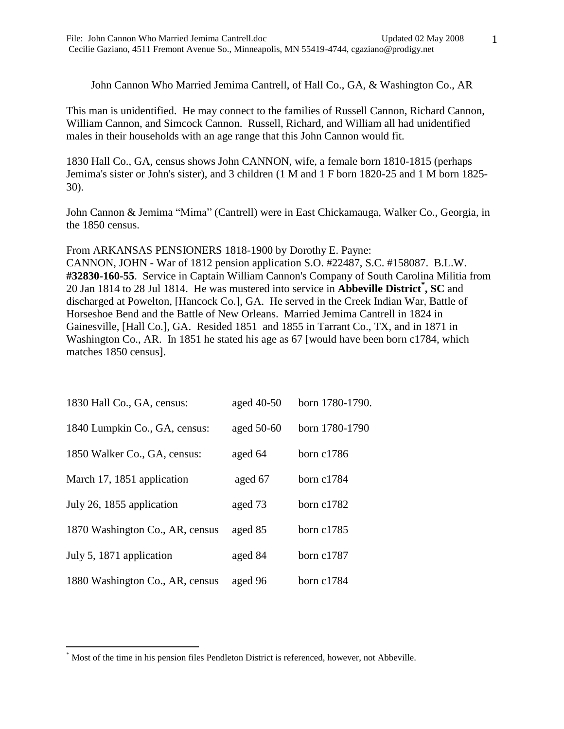1

John Cannon Who Married Jemima Cantrell, of Hall Co., GA, & Washington Co., AR

This man is unidentified. He may connect to the families of Russell Cannon, Richard Cannon, William Cannon, and Simcock Cannon. Russell, Richard, and William all had unidentified males in their households with an age range that this John Cannon would fit.

1830 Hall Co., GA, census shows John CANNON, wife, a female born 1810-1815 (perhaps Jemima's sister or John's sister), and 3 children (1 M and 1 F born 1820-25 and 1 M born 1825- 30).

John Cannon & Jemima "Mima" (Cantrell) were in East Chickamauga, Walker Co., Georgia, in the 1850 census.

From ARKANSAS PENSIONERS 1818-1900 by Dorothy E. Payne: CANNON, JOHN - War of 1812 pension application S.O. #22487, S.C. #158087. B.L.W. **#32830-160-55**. Service in Captain William Cannon's Company of South Carolina Militia from 20 Jan 1814 to 28 Jul 1814. He was mustered into service in **Abbeville District\* , SC** and discharged at Powelton, [Hancock Co.], GA. He served in the Creek Indian War, Battle of Horseshoe Bend and the Battle of New Orleans. Married Jemima Cantrell in 1824 in Gainesville, [Hall Co.], GA. Resided 1851 and 1855 in Tarrant Co., TX, and in 1871 in Washington Co., AR. In 1851 he stated his age as 67 [would have been born c1784, which matches 1850 census].

| 1830 Hall Co., GA, census:      | aged 40-50 | born 1780-1790. |
|---------------------------------|------------|-----------------|
| 1840 Lumpkin Co., GA, census:   | aged 50-60 | born 1780-1790  |
| 1850 Walker Co., GA, census:    | aged 64    | born $c1786$    |
| March 17, 1851 application      | aged 67    | born $c1784$    |
| July 26, 1855 application       | aged 73    | born $c1782$    |
| 1870 Washington Co., AR, census | aged 85    | born $c1785$    |
| July 5, 1871 application        | aged 84    | born $c1787$    |
| 1880 Washington Co., AR, census | aged 96    | born $c1784$    |

 $\overline{a}$ 

<sup>\*</sup> Most of the time in his pension files Pendleton District is referenced, however, not Abbeville.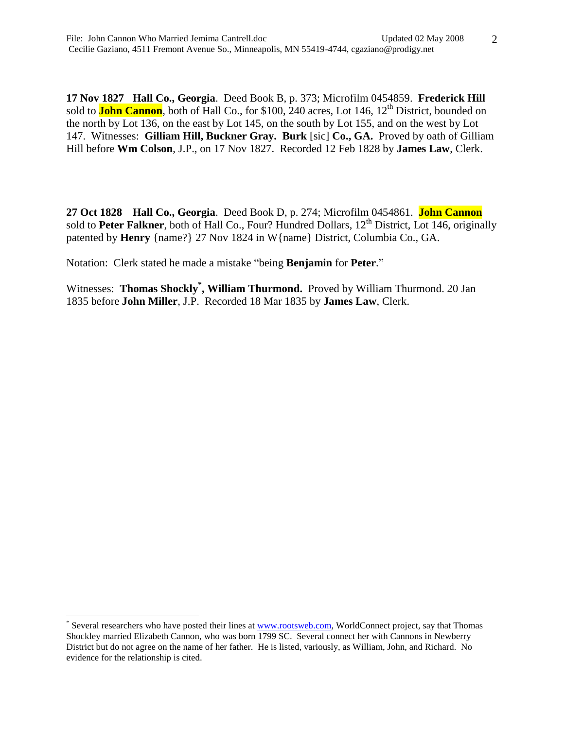**17 Nov 1827 Hall Co., Georgia**. Deed Book B, p. 373; Microfilm 0454859. **Frederick Hill** sold to **John Cannon**, both of Hall Co., for \$100, 240 acres, Lot 146, 12<sup>th</sup> District, bounded on the north by Lot 136, on the east by Lot 145, on the south by Lot 155, and on the west by Lot 147. Witnesses: **Gilliam Hill, Buckner Gray. Burk** [sic] **Co., GA.** Proved by oath of Gilliam Hill before **Wm Colson**, J.P., on 17 Nov 1827. Recorded 12 Feb 1828 by **James Law**, Clerk.

**27 Oct 1828 Hall Co., Georgia**. Deed Book D, p. 274; Microfilm 0454861. **John Cannon** sold to **Peter Falkner**, both of Hall Co., Four? Hundred Dollars, 12<sup>th</sup> District, Lot 146, originally patented by **Henry** {name?} 27 Nov 1824 in W{name} District, Columbia Co., GA.

Notation: Clerk stated he made a mistake "being **Benjamin** for **Peter**."

Witnesses: Thomas Shockly<sup>\*</sup>, William Thurmond. Proved by William Thurmond. 20 Jan 1835 before **John Miller**, J.P. Recorded 18 Mar 1835 by **James Law**, Clerk.

 $\overline{a}$ 

<sup>\*</sup> Several researchers who have posted their lines at [www.rootsweb.com,](http://www.rootsweb.com/) WorldConnect project, say that Thomas Shockley married Elizabeth Cannon, who was born 1799 SC. Several connect her with Cannons in Newberry District but do not agree on the name of her father. He is listed, variously, as William, John, and Richard. No evidence for the relationship is cited.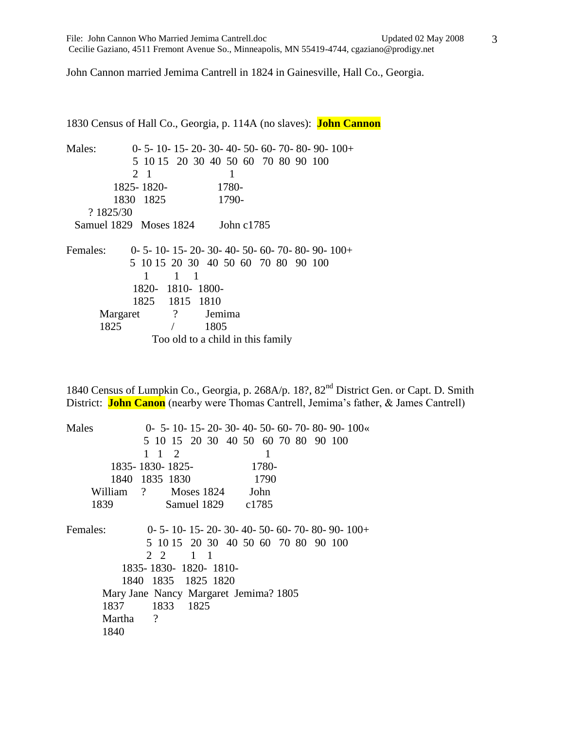3

John Cannon married Jemima Cantrell in 1824 in Gainesville, Hall Co., Georgia.

1830 Census of Hall Co., Georgia, p. 114A (no slaves): **John Cannon** Males: 0- 5- 10- 15- 20- 30- 40- 50- 60- 70- 80- 90- 100+ 5 10 15 20 30 40 50 60 70 80 90 100 2 1 1 1825- 1820- 1780- 1830 1825 1790- ? 1825/30 Samuel 1829 Moses 1824 John c1785 Females: 0- 5- 10- 15- 20- 30- 40- 50- 60- 70- 80- 90- 100+ 5 10 15 20 30 40 50 60 70 80 90 100 1 1 1 1820- 1810- 1800- 1825 1815 1810 Margaret ? Jemima 1825 / 1805 Too old to a child in this family

1840 Census of Lumpkin Co., Georgia, p. 268A/p. 18?, 82<sup>nd</sup> District Gen. or Capt. D. Smith District: **John Canon** (nearby were Thomas Cantrell, Jemima's father, & James Cantrell)

| Males                |                                       | $0-5-10-15-20-30-40-50-60-70-80-90-100$  |  |  |  |  |  |  |
|----------------------|---------------------------------------|------------------------------------------|--|--|--|--|--|--|
|                      |                                       | 5 10 15 20 30 40 50 60 70 80 90 100      |  |  |  |  |  |  |
|                      | $1 \t1 \t2$                           | 1                                        |  |  |  |  |  |  |
|                      | 1835-1830-1825-                       | 1780-                                    |  |  |  |  |  |  |
|                      | 1840 1835 1830                        | 1790                                     |  |  |  |  |  |  |
|                      | William ? Moses 1824                  | John                                     |  |  |  |  |  |  |
| 1839                 | Samuel 1829 c1785                     |                                          |  |  |  |  |  |  |
| Females:             |                                       | $0-5-10-15-20-30-40-50-60-70-80-90-100+$ |  |  |  |  |  |  |
|                      |                                       | 5 10 15 20 30 40 50 60 70 80 90 100      |  |  |  |  |  |  |
|                      | 22<br>$1 \quad 1$                     |                                          |  |  |  |  |  |  |
| 1835-1830-1820-1810- |                                       |                                          |  |  |  |  |  |  |
| 1840 1835 1825 1820  |                                       |                                          |  |  |  |  |  |  |
|                      | Mary Jane Nancy Margaret Jemima? 1805 |                                          |  |  |  |  |  |  |
| 1837                 | 1833 1825                             |                                          |  |  |  |  |  |  |
| Martha               | $\overline{\phantom{a}}$              |                                          |  |  |  |  |  |  |
| 1840                 |                                       |                                          |  |  |  |  |  |  |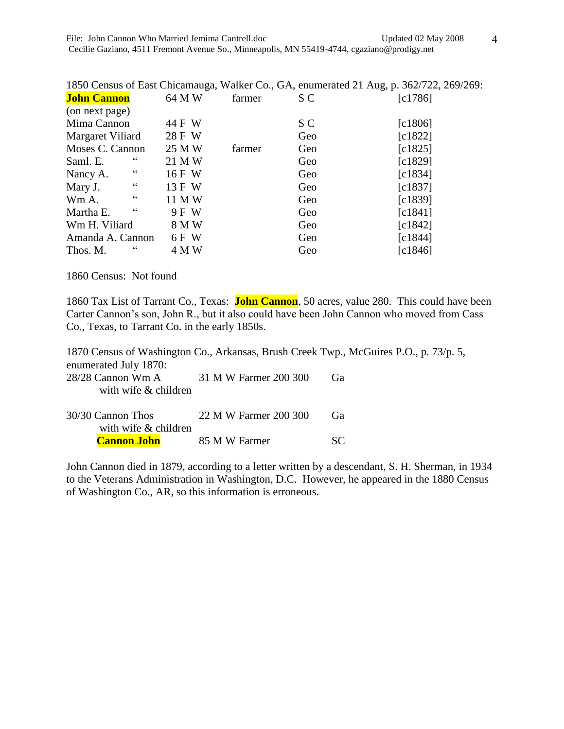|                         |        |        |     | 1850 Census of East Chicamauga, Walker Co., GA, enumerated 21 Aug, p. 362/722, 269/269: |
|-------------------------|--------|--------|-----|-----------------------------------------------------------------------------------------|
| <b>John Cannon</b>      | 64 M W | farmer | S C | [c1786]                                                                                 |
| (on next page)          |        |        |     |                                                                                         |
| Mima Cannon             | 44 F W |        | S C | $\lceil c1806\rceil$                                                                    |
| Margaret Viliard        | 28 F W |        | Geo | $\lceil c1822\rceil$                                                                    |
| Moses C. Cannon         | 25 M W | farmer | Geo | [c1825]                                                                                 |
| $_{cc}$<br>Saml. E.     | 21 M W |        | Geo | [c1829]                                                                                 |
| $\epsilon$<br>Nancy A.  | 16 F W |        | Geo | [c1834]                                                                                 |
| $\epsilon$<br>Mary J.   | 13 F W |        | Geo | [c1837]                                                                                 |
| $\epsilon$<br>Wm A.     | 11 M W |        | Geo | [c1839]                                                                                 |
| $\epsilon$<br>Martha E. | 9 F W  |        | Geo | $\lceil c1841\rceil$                                                                    |
| Wm H. Viliard           | 8 M W  |        | Geo | $\lceil c1842\rceil$                                                                    |
| Amanda A. Cannon        | 6 F W  |        | Geo | [c1844]                                                                                 |
| $\epsilon$<br>Thos. M.  | 4 M W  |        | Geo | $\lceil c1846\rceil$                                                                    |

1860 Census: Not found

1860 Tax List of Tarrant Co., Texas: **John Cannon**, 50 acres, value 280. This could have been Carter Cannon's son, John R., but it also could have been John Cannon who moved from Cass Co., Texas, to Tarrant Co. in the early 1850s.

1870 Census of Washington Co., Arkansas, Brush Creek Twp., McGuires P.O., p. 73/p. 5, enumerated July 1870: 28/28 Cannon Wm A 31 M W Farmer 200 300 Ga with wife & children 30/30 Cannon Thos 22 M W Farmer 200 300 Ga with wife & children **Cannon John** 85 M W Farmer SC

John Cannon died in 1879, according to a letter written by a descendant, S. H. Sherman, in 1934 to the Veterans Administration in Washington, D.C. However, he appeared in the 1880 Census of Washington Co., AR, so this information is erroneous.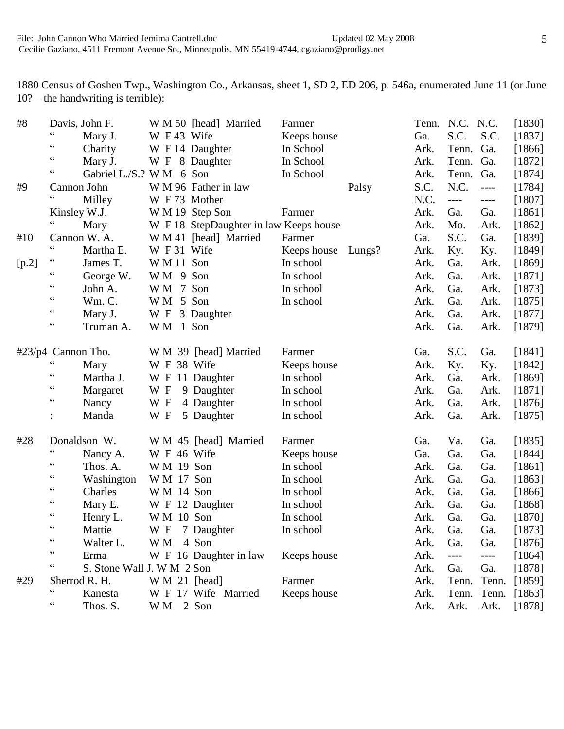1880 Census of Goshen Twp., Washington Co., Arkansas, sheet 1, SD 2, ED 206, p. 546a, enumerated June 11 (or June 10? – the handwriting is terrible):

| #8    |                       | Davis, John F.             |               | W M 50 [head] Married                  | Farmer      |        |      | Tenn. N.C. N.C.       |                       | [1830]   |
|-------|-----------------------|----------------------------|---------------|----------------------------------------|-------------|--------|------|-----------------------|-----------------------|----------|
|       | $\zeta$ $\zeta$       | Mary J.                    | W F 43 Wife   |                                        | Keeps house |        | Ga.  | S.C.                  | S.C.                  | [1837]   |
|       | $\zeta$ $\zeta$       | Charity                    |               | W F 14 Daughter                        | In School   |        | Ark. | Tenn.                 | Ga.                   | [1866]   |
|       | $\zeta$ $\zeta$       | Mary J.                    |               | W F 8 Daughter                         | In School   |        | Ark. | Tenn.                 | Ga.                   | $[1872]$ |
|       | $\zeta$ $\zeta$       | Gabriel L./S.? W M 6 Son   |               |                                        | In School   |        | Ark. | Tenn.                 | Ga.                   | [1874]   |
| #9    |                       | Cannon John                |               | W M 96 Father in law                   |             | Palsy  | S.C. | N.C.                  | $\qquad \qquad - - -$ | [1784]   |
|       | $\zeta$ $\zeta$       | Milley                     | W F 73 Mother |                                        |             |        | N.C. | $\qquad \qquad - - -$ | $---$                 | [1807]   |
|       |                       | Kinsley W.J.               |               | W M 19 Step Son                        | Farmer      |        | Ark. | Ga.                   | Ga.                   | [1861]   |
|       | $\mathsf{cc}$         | Mary                       |               | W F 18 StepDaughter in law Keeps house |             |        | Ark. | Mo.                   | Ark.                  | [1862]   |
| #10   |                       | Cannon W. A.               |               | W M 41 [head] Married                  | Farmer      |        | Ga.  | S.C.                  | Ga.                   | [1839]   |
|       | $\zeta$ $\zeta$       | Martha E.                  | W F 31 Wife   |                                        | Keeps house | Lungs? | Ark. | Ky.                   | Ky.                   | [1849]   |
| [p.2] | $\zeta$ $\zeta$       | James T.                   | W M 11 Son    |                                        | In school   |        | Ark. | Ga.                   | Ark.                  | [1869]   |
|       | $\zeta$ $\zeta$       | George W.                  | WM 9 Son      |                                        | In school   |        | Ark. | Ga.                   | Ark.                  | [1871]   |
|       | $\zeta$ $\zeta$       | John A.                    | WM 7 Son      |                                        | In school   |        | Ark. | Ga.                   | Ark.                  | [1873]   |
|       | $\zeta$ $\zeta$       | Wm. C.                     | WM 5 Son      |                                        | In school   |        | Ark. | Ga.                   | Ark.                  | [1875]   |
|       | $\zeta$ $\zeta$       | Mary J.                    | W F           | 3 Daughter                             |             |        | Ark. | Ga.                   | Ark.                  | [1877]   |
|       | $\zeta$ $\zeta$       | Truman A.                  | WM 1 Son      |                                        |             |        | Ark. | Ga.                   | Ark.                  | [1879]   |
|       | $\#23/p4$ Cannon Tho. |                            |               | W M 39 [head] Married                  | Farmer      |        | Ga.  | S.C.                  | Ga.                   | [1841]   |
|       | $\zeta$ $\zeta$       | Mary                       | W F 38 Wife   |                                        | Keeps house |        | Ark. | Ky.                   | Ky.                   | [1842]   |
|       | $\zeta$ $\zeta$       | Martha J.                  |               | W F 11 Daughter                        | In school   |        | Ark. | Ga.                   | Ark.                  | $[1869]$ |
|       | $\zeta$ $\zeta$       | Margaret                   | W F           | 9 Daughter                             | In school   |        | Ark. | Ga.                   | Ark.                  | $[1871]$ |
|       | $\zeta$ $\zeta$       | Nancy                      | W F           | 4 Daughter                             | In school   |        | Ark. | Ga.                   | Ark.                  | [1876]   |
|       |                       | Manda                      | W F           | 5 Daughter                             | In school   |        | Ark. | Ga.                   | Ark.                  | [1875]   |
| #28   |                       | Donaldson W.               |               | W M 45 [head] Married                  | Farmer      |        | Ga.  | Va.                   | Ga.                   | [1835]   |
|       | $\zeta$ $\zeta$       | Nancy A.                   | W F 46 Wife   |                                        | Keeps house |        | Ga.  | Ga.                   | Ga.                   | [1844]   |
|       | $\zeta$ $\zeta$       | Thos. A.                   | W M 19 Son    |                                        | In school   |        | Ark. | Ga.                   | Ga.                   | [1861]   |
|       | $\zeta$ $\zeta$       | Washington                 | W M 17 Son    |                                        | In school   |        | Ark. | Ga.                   | Ga.                   | [1863]   |
|       | $\zeta$ $\zeta$       | Charles                    | WM 14 Son     |                                        | In school   |        | Ark. | Ga.                   | Ga.                   | [1866]   |
|       | $\zeta$ $\zeta$       | Mary E.                    |               | W F 12 Daughter                        | In school   |        | Ark. | Ga.                   | Ga.                   | [1868]   |
|       | $\zeta$ $\zeta$       | Henry L.                   | W M 10 Son    |                                        | In school   |        | Ark. | Ga.                   | Ga.                   | [1870]   |
|       | cc                    | Mattie                     |               | W F 7 Daughter                         | In school   |        | Ark. | Ga.                   | Ga.                   | [1873]   |
|       | $\zeta$ $\zeta$       | Walter L.                  | W M           | 4 Son                                  |             |        | Ark. | Ga.                   | Ga.                   | [1876]   |
|       | ,,                    | Erma                       |               | W F 16 Daughter in law                 | Keeps house |        | Ark. | $---$                 | ----                  | [1864]   |
|       | cc                    | S. Stone Wall J. W M 2 Son |               |                                        |             |        | Ark. | Ga.                   | Ga.                   | [1878]   |
| #29   |                       | Sherrod R. H.              | W M 21 [head] |                                        | Farmer      |        | Ark. | Tenn.                 | Tenn.                 | [1859]   |
|       | cc                    | Kanesta                    |               | W F 17 Wife Married                    | Keeps house |        | Ark. | Tenn.                 | Tenn.                 | [1863]   |
|       | $\zeta$ $\zeta$       | Thos. S.                   | WM 2 Son      |                                        |             |        | Ark. | Ark.                  | Ark.                  | [1878]   |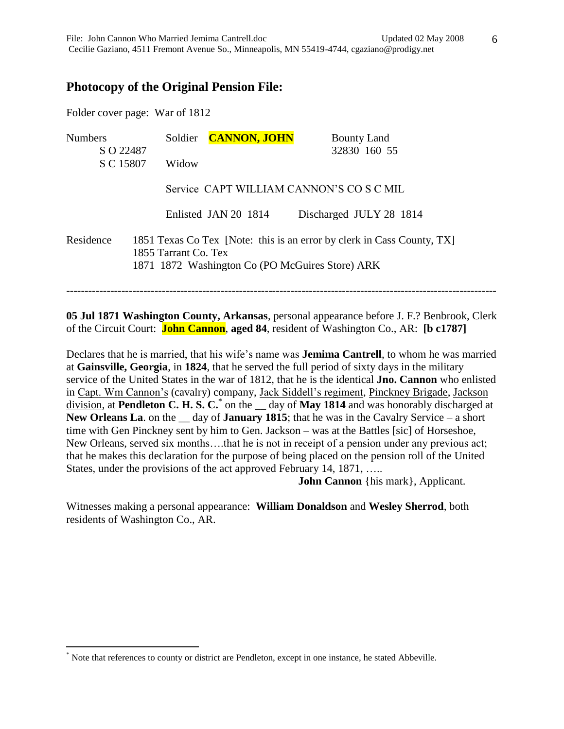# **Photocopy of the Original Pension File:**

Folder cover page: War of 1812

 $\overline{a}$ 

| <b>Numbers</b> | <b>CANNON, JOHN</b><br>Soldier                                          | <b>Bounty Land</b>                                                     |  |
|----------------|-------------------------------------------------------------------------|------------------------------------------------------------------------|--|
| S O 22487      |                                                                         | 32830 160 55                                                           |  |
| S C 15807      | Widow                                                                   |                                                                        |  |
|                | Service CAPT WILLIAM CANNON'S CO S C MIL                                |                                                                        |  |
|                | Enlisted JAN 20 1814                                                    | Discharged JULY 28 1814                                                |  |
| Residence      | 1855 Tarrant Co. Tex<br>1871 1872 Washington Co (PO McGuires Store) ARK | 1851 Texas Co Tex [Note: this is an error by clerk in Cass County, TX] |  |

**05 Jul 1871 Washington County, Arkansas**, personal appearance before J. F.? Benbrook, Clerk of the Circuit Court: **John Cannon**, **aged 84**, resident of Washington Co., AR: **[b c1787]**

Declares that he is married, that his wife's name was **Jemima Cantrell**, to whom he was married at **Gainsville, Georgia**, in **1824**, that he served the full period of sixty days in the military service of the United States in the war of 1812, that he is the identical **Jno. Cannon** who enlisted in Capt. Wm Cannon's (cavalry) company, Jack Siddell's regiment, Pinckney Brigade, Jackson division, at **Pendleton C. H. S. C.\*** on the \_\_ day of **May 1814** and was honorably discharged at New Orleans La. on the \_\_ day of **January 1815**; that he was in the Cavalry Service – a short time with Gen Pinckney sent by him to Gen. Jackson – was at the Battles [sic] of Horseshoe, New Orleans, served six months….that he is not in receipt of a pension under any previous act; that he makes this declaration for the purpose of being placed on the pension roll of the United States, under the provisions of the act approved February 14, 1871, …..

**John Cannon** {his mark}, Applicant.

Witnesses making a personal appearance: **William Donaldson** and **Wesley Sherrod**, both residents of Washington Co., AR.

<sup>\*</sup> Note that references to county or district are Pendleton, except in one instance, he stated Abbeville.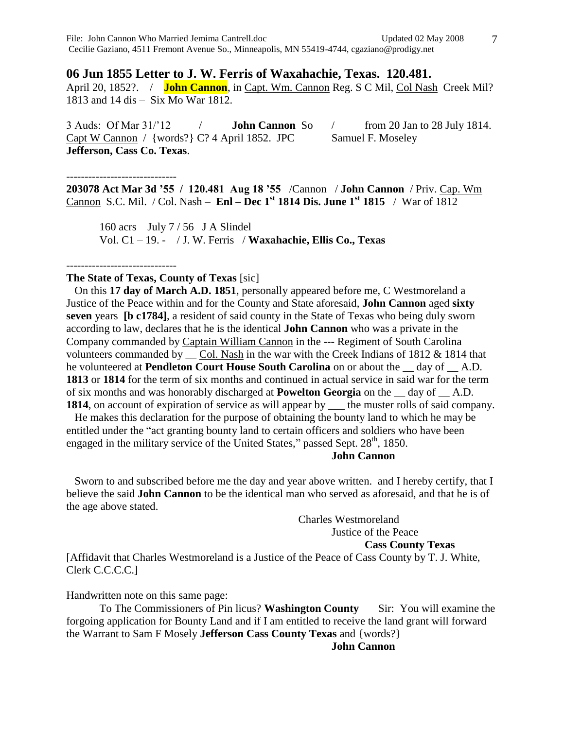#### **06 Jun 1855 Letter to J. W. Ferris of Waxahachie, Texas. 120.481.**

April 20, 1852?. / **John Cannon**, in Capt. Wm. Cannon Reg. S C Mil, Col Nash Creek Mil? 1813 and 14 dis – Six Mo War 1812.

3 Auds: Of Mar 31/'12 / **John Cannon** So / from 20 Jan to 28 July 1814. Capt W Cannon / {words?} C? 4 April 1852. JPC Samuel F. Moseley **Jefferson, Cass Co. Texas**.

------------------------------

**203078 Act Mar 3d '55 / 120.481 Aug 18 '55** /Cannon / **John Cannon** / Priv. Cap. Wm Cannon S.C. Mil. / Col. Nash – **Enl – Dec 1st 1814 Dis. June 1st 1815** / War of 1812

160 acrs July 7 / 56 J A Slindel Vol. C1 – 19. - / J. W. Ferris / **Waxahachie, Ellis Co., Texas**

------------------------------

#### **The State of Texas, County of Texas** [sic]

 On this **17 day of March A.D. 1851**, personally appeared before me, C Westmoreland a Justice of the Peace within and for the County and State aforesaid, **John Cannon** aged **sixty seven** years **[b c1784]**, a resident of said county in the State of Texas who being duly sworn according to law, declares that he is the identical **John Cannon** who was a private in the Company commanded by Captain William Cannon in the --- Regiment of South Carolina volunteers commanded by \_\_ Col. Nash in the war with the Creek Indians of 1812 & 1814 that he volunteered at **Pendleton Court House South Carolina** on or about the \_\_ day of \_\_ A.D. **1813** or **1814** for the term of six months and continued in actual service in said war for the term of six months and was honorably discharged at **Powelton Georgia** on the \_\_ day of \_\_ A.D. **1814**, on account of expiration of service as will appear by the muster rolls of said company.

 He makes this declaration for the purpose of obtaining the bounty land to which he may be entitled under the "act granting bounty land to certain officers and soldiers who have been engaged in the military service of the United States," passed Sept.  $28<sup>th</sup>$ , 1850.

## **John Cannon**

 Sworn to and subscribed before me the day and year above written. and I hereby certify, that I believe the said **John Cannon** to be the identical man who served as aforesaid, and that he is of the age above stated.

> Charles Westmoreland Justice of the Peace **Cass County Texas**

[Affidavit that Charles Westmoreland is a Justice of the Peace of Cass County by T. J. White, Clerk C.C.C.C.]

Handwritten note on this same page:

To The Commissioners of Pin licus? **Washington County** Sir: You will examine the forgoing application for Bounty Land and if I am entitled to receive the land grant will forward the Warrant to Sam F Mosely **Jefferson Cass County Texas** and {words?}

#### **John Cannon**

7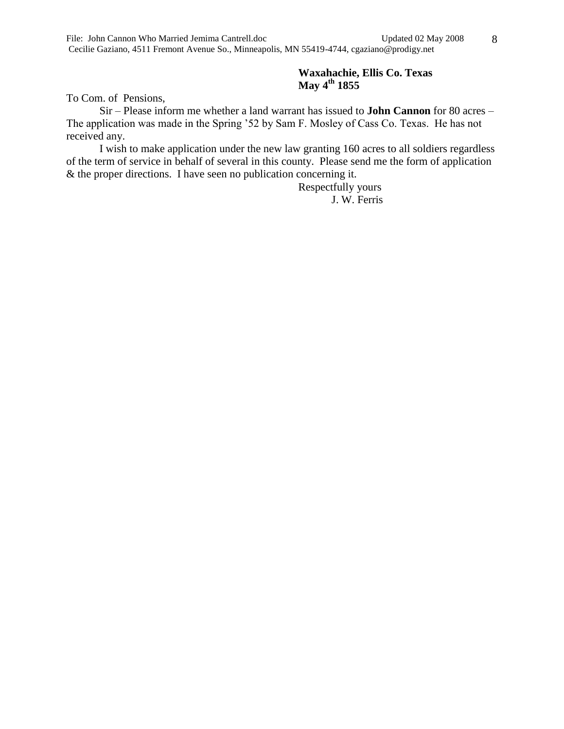### **Waxahachie, Ellis Co. Texas May 4th 1855**

To Com. of Pensions,

Sir – Please inform me whether a land warrant has issued to **John Cannon** for 80 acres – The application was made in the Spring '52 by Sam F. Mosley of Cass Co. Texas. He has not received any.

I wish to make application under the new law granting 160 acres to all soldiers regardless of the term of service in behalf of several in this county. Please send me the form of application & the proper directions. I have seen no publication concerning it.

> Respectfully yours J. W. Ferris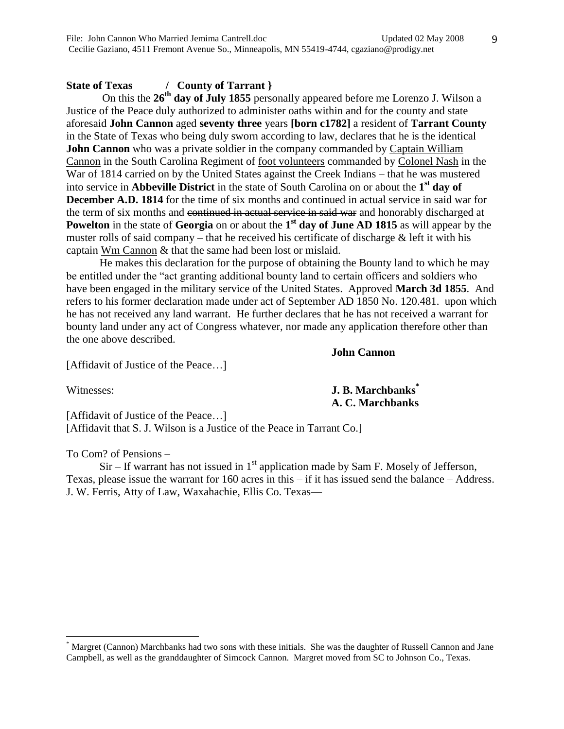### **State of Texas / County of Tarrant }**

 On this the **26th day of July 1855** personally appeared before me Lorenzo J. Wilson a Justice of the Peace duly authorized to administer oaths within and for the county and state aforesaid **John Cannon** aged **seventy three** years **[born c1782]** a resident of **Tarrant County** in the State of Texas who being duly sworn according to law, declares that he is the identical **John Cannon** who was a private soldier in the company commanded by Captain William Cannon in the South Carolina Regiment of foot volunteers commanded by Colonel Nash in the War of 1814 carried on by the United States against the Creek Indians – that he was mustered into service in **Abbeville District** in the state of South Carolina on or about the **1 st day of December A.D. 1814** for the time of six months and continued in actual service in said war for the term of six months and continued in actual service in said war and honorably discharged at **Powelton** in the state of **Georgia** on or about the 1<sup>st</sup> day of June AD 1815 as will appear by the muster rolls of said company – that he received his certificate of discharge  $\&$  left it with his captain Wm Cannon & that the same had been lost or mislaid.

He makes this declaration for the purpose of obtaining the Bounty land to which he may be entitled under the "act granting additional bounty land to certain officers and soldiers who have been engaged in the military service of the United States. Approved **March 3d 1855**. And refers to his former declaration made under act of September AD 1850 No. 120.481. upon which he has not received any land warrant. He further declares that he has not received a warrant for bounty land under any act of Congress whatever, nor made any application therefore other than the one above described.

[Affidavit of Justice of the Peace…]

 $\overline{a}$ 

Witnesses: **J. B. Marchbanks\* A. C. Marchbanks**

**John Cannon**

[Affidavit of Justice of the Peace...] [Affidavit that S. J. Wilson is a Justice of the Peace in Tarrant Co.]

To Com? of Pensions –

 $Sir$  – If warrant has not issued in  $1<sup>st</sup>$  application made by Sam F. Mosely of Jefferson, Texas, please issue the warrant for 160 acres in this – if it has issued send the balance – Address. J. W. Ferris, Atty of Law, Waxahachie, Ellis Co. Texas—

Margret (Cannon) Marchbanks had two sons with these initials. She was the daughter of Russell Cannon and Jane Campbell, as well as the granddaughter of Simcock Cannon. Margret moved from SC to Johnson Co., Texas.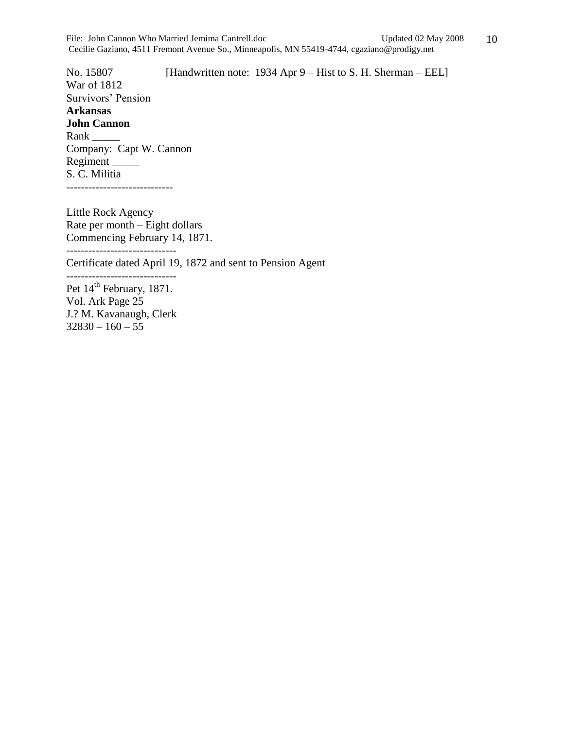No. 15807 [Handwritten note: 1934 Apr 9 – Hist to S. H. Sherman – EEL] War of 1812 Survivors' Pension **Arkansas John Cannon** Rank \_\_\_\_\_\_\_ Company: Capt W. Cannon Regiment \_\_\_\_\_ S. C. Militia -----------------------------

Little Rock Agency Rate per month – Eight dollars Commencing February 14, 1871.

------------------------------

Certificate dated April 19, 1872 and sent to Pension Agent

------------------------------ Pet  $14<sup>th</sup>$  February, 1871. Vol. Ark Page 25 J.? M. Kavanaugh, Clerk

 $32830 - 160 - 55$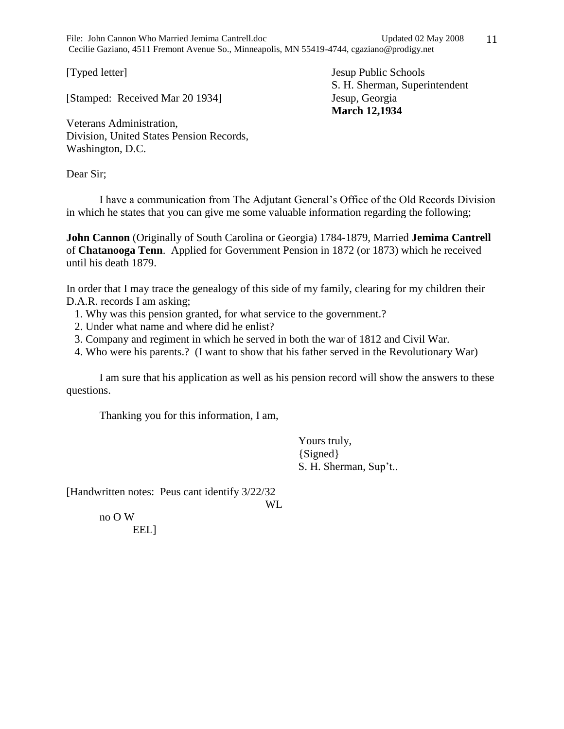File: John Cannon Who Married Jemima Cantrell.doc Updated 02 May 2008 Cecilie Gaziano, 4511 Fremont Avenue So., Minneapolis, MN 55419-4744, cgaziano@prodigy.net

[Stamped: Received Mar 20 1934] Jesup, Georgia

[Typed letter] Jesup Public Schools S. H. Sherman, Superintendent **March 12,1934**

Veterans Administration, Division, United States Pension Records, Washington, D.C.

Dear Sir;

I have a communication from The Adjutant General's Office of the Old Records Division in which he states that you can give me some valuable information regarding the following;

**John Cannon** (Originally of South Carolina or Georgia) 1784-1879, Married **Jemima Cantrell** of **Chatanooga Tenn**. Applied for Government Pension in 1872 (or 1873) which he received until his death 1879.

In order that I may trace the genealogy of this side of my family, clearing for my children their D.A.R. records I am asking;

- 1. Why was this pension granted, for what service to the government.?
- 2. Under what name and where did he enlist?
- 3. Company and regiment in which he served in both the war of 1812 and Civil War.
- 4. Who were his parents.? (I want to show that his father served in the Revolutionary War)

I am sure that his application as well as his pension record will show the answers to these questions.

Thanking you for this information, I am,

Yours truly, {Signed} S. H. Sherman, Sup't..

[Handwritten notes: Peus cant identify 3/22/32

WL

no O W EEL]